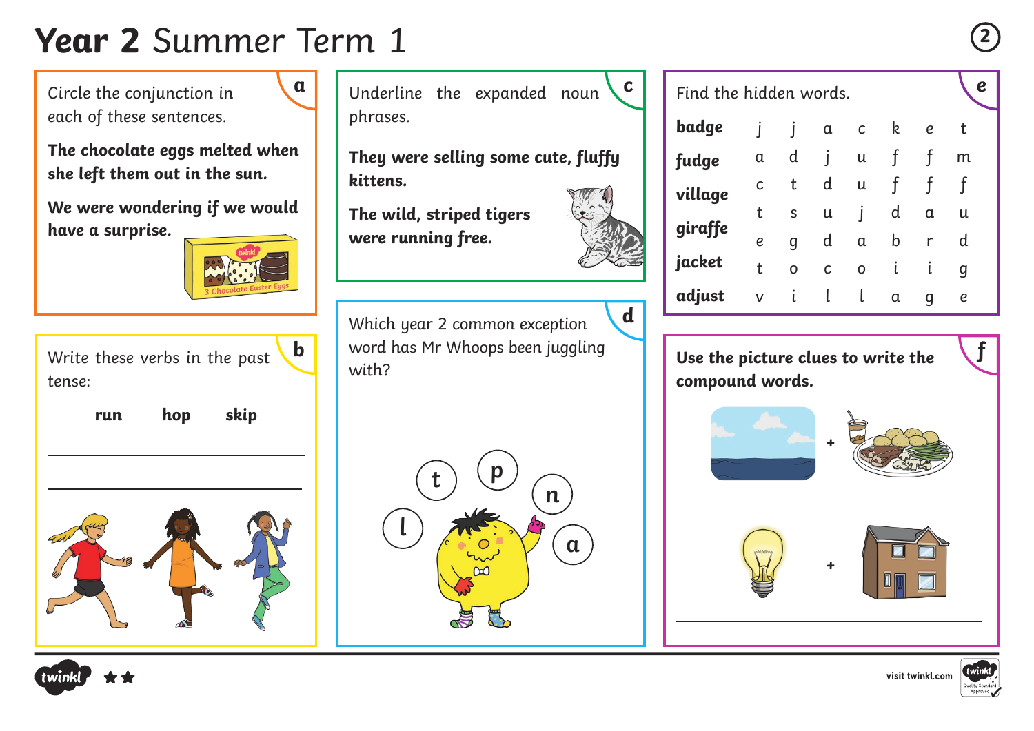## **Year 2** Summer Term 1 **<sup>2</sup>**

Circle the conjunction in each of these sentences.

**The chocolate eggs melted when she left them out in the sun.**

**We were wondering if we would have a surprise.**



Write these verbs in the past tense:

 $\overline{a}$ 

 $\overline{a}$ 

**run hop skip**

 $\overline{a}$ 

**l**



**a** Underline the expanded noun **c** Find the hidden words. phrases.

**They were selling some cute, fluffy kittens.**

**The wild, striped tigers were running free.**



**d**

Which year 2 common exception  $\mathbf{b}$   $\parallel$  word has Mr Whoops been juggling  $\parallel$  **f**  $\parallel$  use the nicture clues to write the  $\parallel$   $\parallel$ with?

 $f \left( \begin{matrix} p \end{matrix} \right)$ 

**n**

**a**

**fudge** 

 $\overline{a}$ 

 $\overline{a}$ 

| badge   |   | I            | $\alpha$                 | $\mathsf{C}$             | k            | е            | t |  |
|---------|---|--------------|--------------------------|--------------------------|--------------|--------------|---|--|
| fudge   | α | d            | $\overline{\phantom{a}}$ | u                        |              |              | m |  |
| village | С | t            | d                        | U                        | t            | t            |   |  |
|         | t | S            | u                        | $\overline{\phantom{a}}$ | d            | α            | u |  |
| giraffe | e | q            | d                        | α                        | b            | r            | d |  |
| jacket  | t | O            | C                        | O                        | $\mathbf{L}$ | $\mathsf{L}$ | q |  |
| adjust  | V | $\mathbf{I}$ | l                        | L                        | α            | q            | e |  |

**Use the picture clues to write the compound words.**









Find the hidden words.